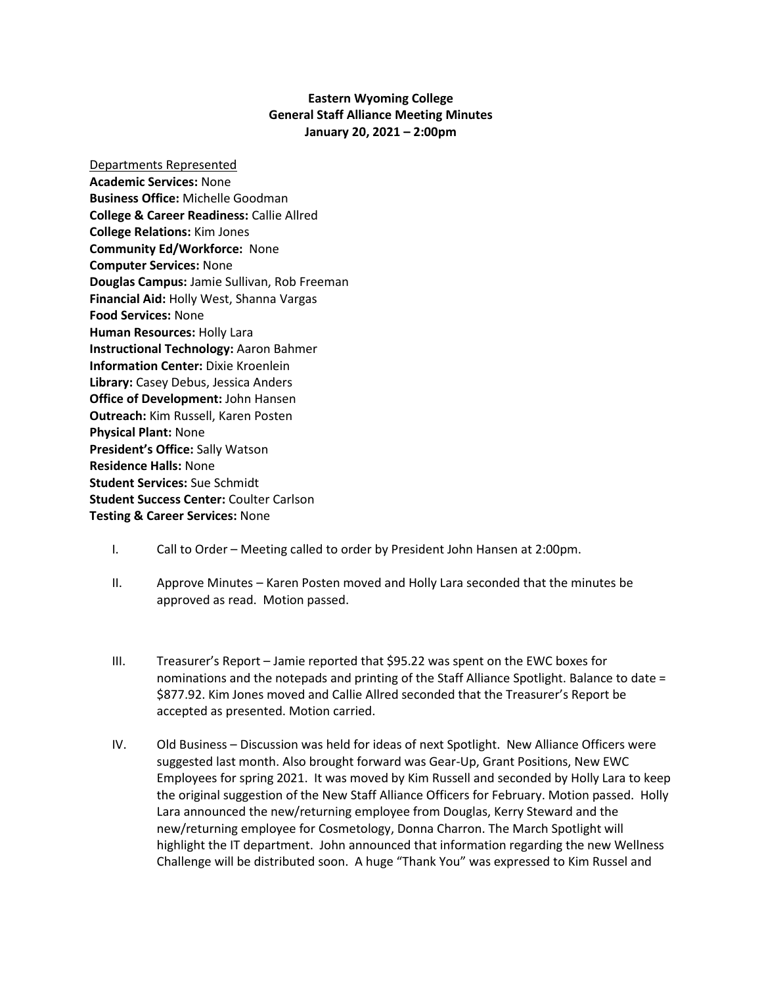## **Eastern Wyoming College General Staff Alliance Meeting Minutes January 20, 2021 – 2:00pm**

Departments Represented **Academic Services:** None **Business Office:** Michelle Goodman **College & Career Readiness:** Callie Allred **College Relations:** Kim Jones **Community Ed/Workforce:** None **Computer Services:** None **Douglas Campus:** Jamie Sullivan, Rob Freeman **Financial Aid:** Holly West, Shanna Vargas **Food Services:** None **Human Resources:** Holly Lara **Instructional Technology:** Aaron Bahmer **Information Center:** Dixie Kroenlein **Library:** Casey Debus, Jessica Anders **Office of Development:** John Hansen **Outreach:** Kim Russell, Karen Posten **Physical Plant:** None **President's Office:** Sally Watson **Residence Halls:** None **Student Services:** Sue Schmidt **Student Success Center:** Coulter Carlson **Testing & Career Services:** None

## I. Call to Order – Meeting called to order by President John Hansen at 2:00pm.

- II. Approve Minutes Karen Posten moved and Holly Lara seconded that the minutes be approved as read. Motion passed.
- III. Treasurer's Report Jamie reported that \$95.22 was spent on the EWC boxes for nominations and the notepads and printing of the Staff Alliance Spotlight. Balance to date = \$877.92. Kim Jones moved and Callie Allred seconded that the Treasurer's Report be accepted as presented. Motion carried.
- IV. Old Business Discussion was held for ideas of next Spotlight. New Alliance Officers were suggested last month. Also brought forward was Gear-Up, Grant Positions, New EWC Employees for spring 2021. It was moved by Kim Russell and seconded by Holly Lara to keep the original suggestion of the New Staff Alliance Officers for February. Motion passed. Holly Lara announced the new/returning employee from Douglas, Kerry Steward and the new/returning employee for Cosmetology, Donna Charron. The March Spotlight will highlight the IT department. John announced that information regarding the new Wellness Challenge will be distributed soon. A huge "Thank You" was expressed to Kim Russel and